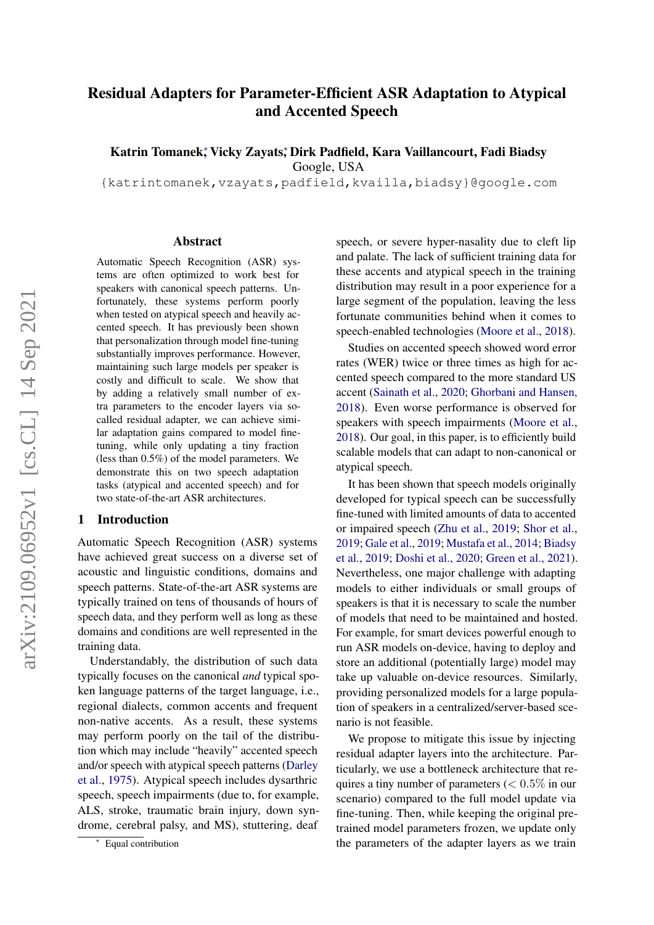# Residual Adapters for Parameter-Efficient ASR Adaptation to Atypical and Accented Speech

Katrin Tomanek; Vicky Zayats; Dirk Padfield, Kara Vaillancourt, Fadi Biadsy

Google, USA

{katrintomanek,vzayats,padfield,kvailla,biadsy}@google.com

#### Abstract

Automatic Speech Recognition (ASR) systems are often optimized to work best for speakers with canonical speech patterns. Unfortunately, these systems perform poorly when tested on atypical speech and heavily accented speech. It has previously been shown that personalization through model fine-tuning substantially improves performance. However, maintaining such large models per speaker is costly and difficult to scale. We show that by adding a relatively small number of extra parameters to the encoder layers via socalled residual adapter, we can achieve similar adaptation gains compared to model finetuning, while only updating a tiny fraction (less than 0.5%) of the model parameters. We demonstrate this on two speech adaptation tasks (atypical and accented speech) and for two state-of-the-art ASR architectures.

#### 1 Introduction

Automatic Speech Recognition (ASR) systems have achieved great success on a diverse set of acoustic and linguistic conditions, domains and speech patterns. State-of-the-art ASR systems are typically trained on tens of thousands of hours of speech data, and they perform well as long as these domains and conditions are well represented in the training data.

Understandably, the distribution of such data typically focuses on the canonical *and* typical spoken language patterns of the target language, i.e., regional dialects, common accents and frequent non-native accents. As a result, these systems may perform poorly on the tail of the distribution which may include "heavily" accented speech and/or speech with atypical speech patterns [\(Darley](#page-8-0) [et al.,](#page-8-0) [1975\)](#page-8-0). Atypical speech includes dysarthric speech, speech impairments (due to, for example, ALS, stroke, traumatic brain injury, down syndrome, cerebral palsy, and MS), stuttering, deaf

speech, or severe hyper-nasality due to cleft lip and palate. The lack of sufficient training data for these accents and atypical speech in the training distribution may result in a poor experience for a large segment of the population, leaving the less fortunate communities behind when it comes to speech-enabled technologies [\(Moore et al.,](#page-8-1) [2018\)](#page-8-1).

Studies on accented speech showed word error rates (WER) twice or three times as high for accented speech compared to the more standard US accent [\(Sainath et al.,](#page-9-0) [2020;](#page-9-0) [Ghorbani and Hansen,](#page-8-2) [2018\)](#page-8-2). Even worse performance is observed for speakers with speech impairments [\(Moore et al.,](#page-8-1) [2018\)](#page-8-1). Our goal, in this paper, is to efficiently build scalable models that can adapt to non-canonical or atypical speech.

It has been shown that speech models originally developed for typical speech can be successfully fine-tuned with limited amounts of data to accented or impaired speech [\(Zhu et al.,](#page-9-1) [2019;](#page-9-1) [Shor et al.,](#page-9-2) [2019;](#page-9-2) [Gale et al.,](#page-8-3) [2019;](#page-8-3) [Mustafa et al.,](#page-8-4) [2014;](#page-8-4) [Biadsy](#page-8-5) [et al.,](#page-8-5) [2019;](#page-8-5) [Doshi et al.,](#page-8-6) [2020;](#page-8-6) [Green et al.,](#page-8-7) [2021\)](#page-8-7). Nevertheless, one major challenge with adapting models to either individuals or small groups of speakers is that it is necessary to scale the number of models that need to be maintained and hosted. For example, for smart devices powerful enough to run ASR models on-device, having to deploy and store an additional (potentially large) model may take up valuable on-device resources. Similarly, providing personalized models for a large population of speakers in a centralized/server-based scenario is not feasible.

We propose to mitigate this issue by injecting residual adapter layers into the architecture. Particularly, we use a bottleneck architecture that requires a tiny number of parameters  $(< 0.5\%$  in our scenario) compared to the full model update via fine-tuning. Then, while keeping the original pretrained model parameters frozen, we update only the parameters of the adapter layers as we train

<sup>∗</sup> Equal contribution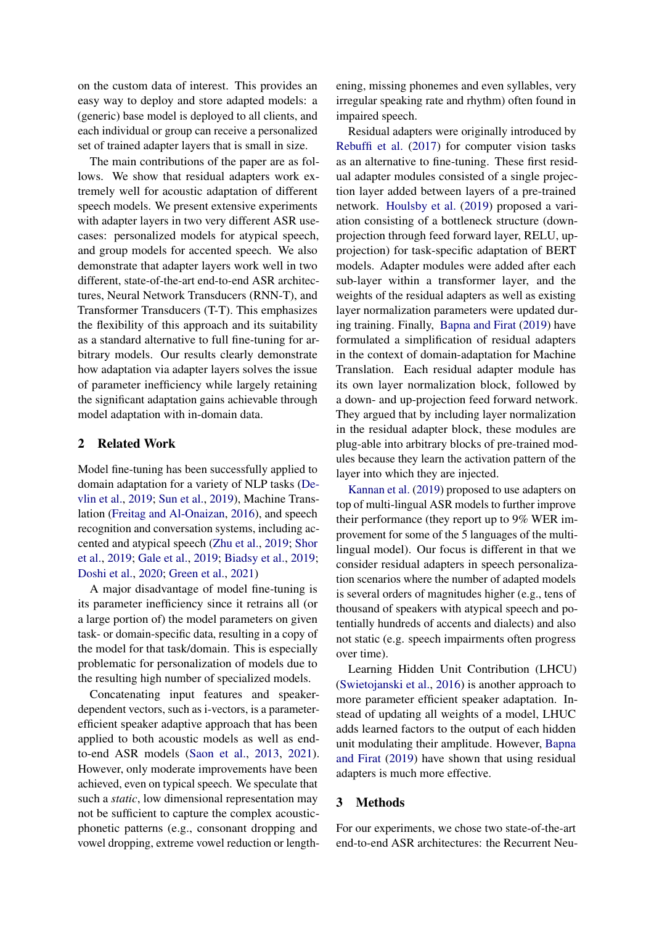on the custom data of interest. This provides an easy way to deploy and store adapted models: a (generic) base model is deployed to all clients, and each individual or group can receive a personalized set of trained adapter layers that is small in size.

The main contributions of the paper are as follows. We show that residual adapters work extremely well for acoustic adaptation of different speech models. We present extensive experiments with adapter layers in two very different ASR usecases: personalized models for atypical speech, and group models for accented speech. We also demonstrate that adapter layers work well in two different, state-of-the-art end-to-end ASR architectures, Neural Network Transducers (RNN-T), and Transformer Transducers (T-T). This emphasizes the flexibility of this approach and its suitability as a standard alternative to full fine-tuning for arbitrary models. Our results clearly demonstrate how adaptation via adapter layers solves the issue of parameter inefficiency while largely retaining the significant adaptation gains achievable through model adaptation with in-domain data.

# 2 Related Work

Model fine-tuning has been successfully applied to domain adaptation for a variety of NLP tasks [\(De](#page-8-8)[vlin et al.,](#page-8-8) [2019;](#page-8-8) [Sun et al.,](#page-9-3) [2019\)](#page-9-3), Machine Translation [\(Freitag and Al-Onaizan,](#page-8-9) [2016\)](#page-8-9), and speech recognition and conversation systems, including accented and atypical speech [\(Zhu et al.,](#page-9-1) [2019;](#page-9-1) [Shor](#page-9-2) [et al.,](#page-9-2) [2019;](#page-9-2) [Gale et al.,](#page-8-3) [2019;](#page-8-3) [Biadsy et al.,](#page-8-5) [2019;](#page-8-5) [Doshi et al.,](#page-8-6) [2020;](#page-8-6) [Green et al.,](#page-8-7) [2021\)](#page-8-7)

A major disadvantage of model fine-tuning is its parameter inefficiency since it retrains all (or a large portion of) the model parameters on given task- or domain-specific data, resulting in a copy of the model for that task/domain. This is especially problematic for personalization of models due to the resulting high number of specialized models.

Concatenating input features and speakerdependent vectors, such as i-vectors, is a parameterefficient speaker adaptive approach that has been applied to both acoustic models as well as endto-end ASR models [\(Saon et al.,](#page-9-4) [2013,](#page-9-4) [2021\)](#page-9-5). However, only moderate improvements have been achieved, even on typical speech. We speculate that such a *static*, low dimensional representation may not be sufficient to capture the complex acousticphonetic patterns (e.g., consonant dropping and vowel dropping, extreme vowel reduction or lengthening, missing phonemes and even syllables, very irregular speaking rate and rhythm) often found in impaired speech.

Residual adapters were originally introduced by [Rebuffi et al.](#page-9-6) [\(2017\)](#page-9-6) for computer vision tasks as an alternative to fine-tuning. These first residual adapter modules consisted of a single projection layer added between layers of a pre-trained network. [Houlsby et al.](#page-8-10) [\(2019\)](#page-8-10) proposed a variation consisting of a bottleneck structure (downprojection through feed forward layer, RELU, upprojection) for task-specific adaptation of BERT models. Adapter modules were added after each sub-layer within a transformer layer, and the weights of the residual adapters as well as existing layer normalization parameters were updated during training. Finally, [Bapna and Firat](#page-8-11) [\(2019\)](#page-8-11) have formulated a simplification of residual adapters in the context of domain-adaptation for Machine Translation. Each residual adapter module has its own layer normalization block, followed by a down- and up-projection feed forward network. They argued that by including layer normalization in the residual adapter block, these modules are plug-able into arbitrary blocks of pre-trained modules because they learn the activation pattern of the layer into which they are injected.

[Kannan et al.](#page-8-12) [\(2019\)](#page-8-12) proposed to use adapters on top of multi-lingual ASR models to further improve their performance (they report up to 9% WER improvement for some of the 5 languages of the multilingual model). Our focus is different in that we consider residual adapters in speech personalization scenarios where the number of adapted models is several orders of magnitudes higher (e.g., tens of thousand of speakers with atypical speech and potentially hundreds of accents and dialects) and also not static (e.g. speech impairments often progress over time).

Learning Hidden Unit Contribution (LHCU) [\(Swietojanski et al.,](#page-9-7) [2016\)](#page-9-7) is another approach to more parameter efficient speaker adaptation. Instead of updating all weights of a model, LHUC adds learned factors to the output of each hidden unit modulating their amplitude. However, [Bapna](#page-8-11) [and Firat](#page-8-11) [\(2019\)](#page-8-11) have shown that using residual adapters is much more effective.

### 3 Methods

For our experiments, we chose two state-of-the-art end-to-end ASR architectures: the Recurrent Neu-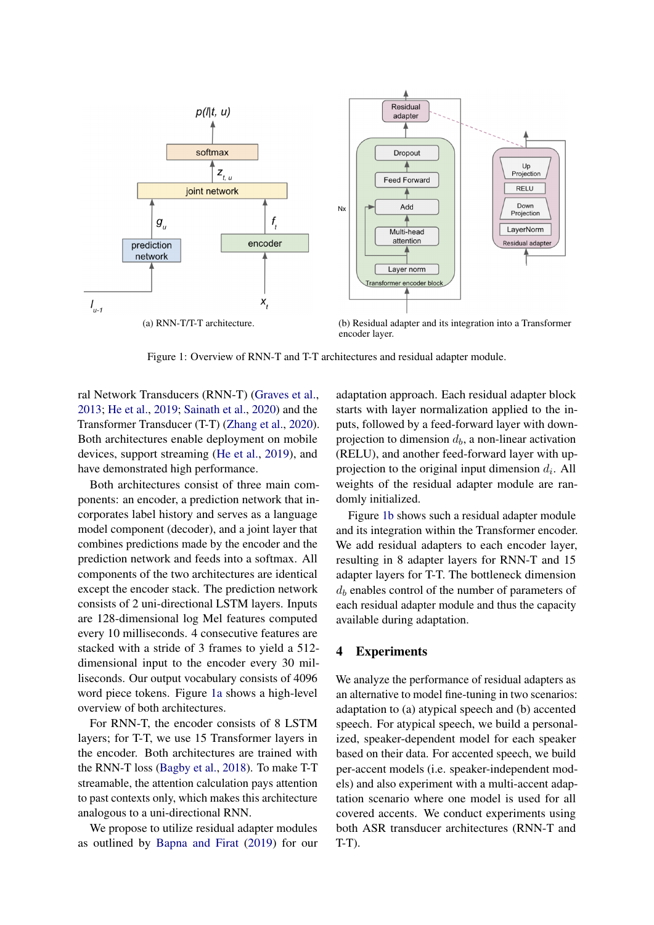<span id="page-2-0"></span>

Figure 1: Overview of RNN-T and T-T architectures and residual adapter module.

ral Network Transducers (RNN-T) [\(Graves et al.,](#page-8-13) [2013;](#page-8-13) [He et al.,](#page-8-14) [2019;](#page-8-14) [Sainath et al.,](#page-9-0) [2020\)](#page-9-0) and the Transformer Transducer (T-T) [\(Zhang et al.,](#page-9-8) [2020\)](#page-9-8). Both architectures enable deployment on mobile devices, support streaming [\(He et al.,](#page-8-14) [2019\)](#page-8-14), and have demonstrated high performance.

Both architectures consist of three main components: an encoder, a prediction network that incorporates label history and serves as a language model component (decoder), and a joint layer that combines predictions made by the encoder and the prediction network and feeds into a softmax. All components of the two architectures are identical except the encoder stack. The prediction network consists of 2 uni-directional LSTM layers. Inputs are 128-dimensional log Mel features computed every 10 milliseconds. 4 consecutive features are stacked with a stride of 3 frames to yield a 512 dimensional input to the encoder every 30 milliseconds. Our output vocabulary consists of 4096 word piece tokens. Figure [1a](#page-2-0) shows a high-level overview of both architectures.

For RNN-T, the encoder consists of 8 LSTM layers; for T-T, we use 15 Transformer layers in the encoder. Both architectures are trained with the RNN-T loss [\(Bagby et al.,](#page-8-15) [2018\)](#page-8-15). To make T-T streamable, the attention calculation pays attention to past contexts only, which makes this architecture analogous to a uni-directional RNN.

We propose to utilize residual adapter modules as outlined by [Bapna and Firat](#page-8-11) [\(2019\)](#page-8-11) for our <span id="page-2-1"></span>adaptation approach. Each residual adapter block starts with layer normalization applied to the inputs, followed by a feed-forward layer with downprojection to dimension  $d<sub>b</sub>$ , a non-linear activation (RELU), and another feed-forward layer with upprojection to the original input dimension  $d_i$ . All weights of the residual adapter module are randomly initialized.

Figure [1b](#page-2-1) shows such a residual adapter module and its integration within the Transformer encoder. We add residual adapters to each encoder layer, resulting in 8 adapter layers for RNN-T and 15 adapter layers for T-T. The bottleneck dimension  $d_b$  enables control of the number of parameters of each residual adapter module and thus the capacity available during adaptation.

# 4 Experiments

We analyze the performance of residual adapters as an alternative to model fine-tuning in two scenarios: adaptation to (a) atypical speech and (b) accented speech. For atypical speech, we build a personalized, speaker-dependent model for each speaker based on their data. For accented speech, we build per-accent models (i.e. speaker-independent models) and also experiment with a multi-accent adaptation scenario where one model is used for all covered accents. We conduct experiments using both ASR transducer architectures (RNN-T and T-T).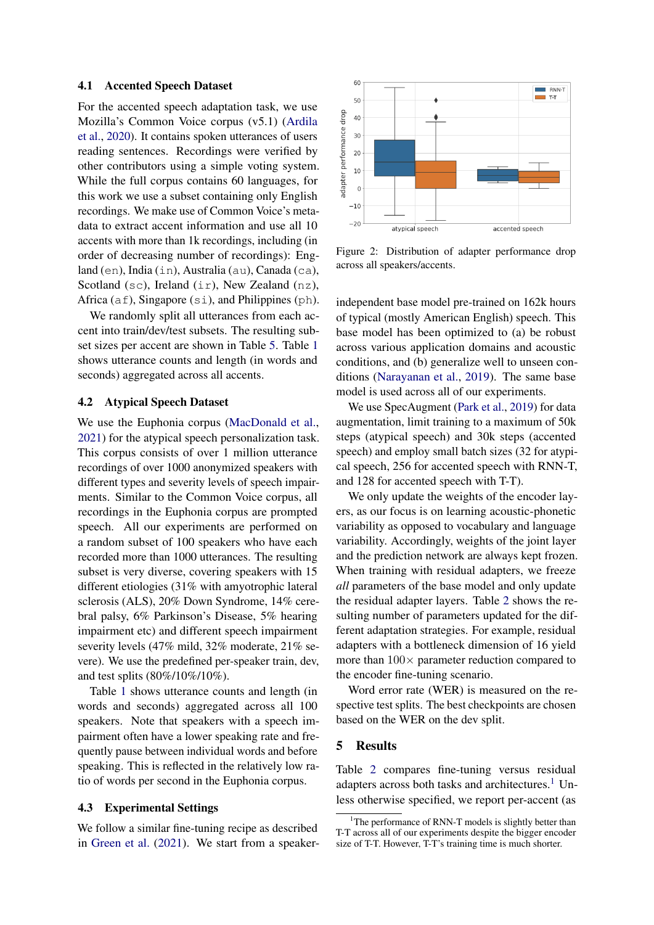#### <span id="page-3-2"></span>4.1 Accented Speech Dataset

For the accented speech adaptation task, we use Mozilla's Common Voice corpus (v5.1) [\(Ardila](#page-8-16) [et al.,](#page-8-16) [2020\)](#page-8-16). It contains spoken utterances of users reading sentences. Recordings were verified by other contributors using a simple voting system. While the full corpus contains 60 languages, for this work we use a subset containing only English recordings. We make use of Common Voice's metadata to extract accent information and use all 10 accents with more than 1k recordings, including (in order of decreasing number of recordings): England (en), India (in), Australia (au), Canada (ca), Scotland (sc), Ireland (ir), New Zealand (nz), Africa ( $af$ ), Singapore ( $si$ ), and Philippines ( $ph$ ).

We randomly split all utterances from each accent into train/dev/test subsets. The resulting subset sizes per accent are shown in Table [5.](#page-7-0) Table [1](#page-4-0) shows utterance counts and length (in words and seconds) aggregated across all accents.

#### 4.2 Atypical Speech Dataset

We use the Euphonia corpus [\(MacDonald et al.,](#page-8-17) [2021\)](#page-8-17) for the atypical speech personalization task. This corpus consists of over 1 million utterance recordings of over 1000 anonymized speakers with different types and severity levels of speech impairments. Similar to the Common Voice corpus, all recordings in the Euphonia corpus are prompted speech. All our experiments are performed on a random subset of 100 speakers who have each recorded more than 1000 utterances. The resulting subset is very diverse, covering speakers with 15 different etiologies (31% with amyotrophic lateral sclerosis (ALS), 20% Down Syndrome, 14% cerebral palsy, 6% Parkinson's Disease, 5% hearing impairment etc) and different speech impairment severity levels (47% mild, 32% moderate, 21% severe). We use the predefined per-speaker train, dev, and test splits (80%/10%/10%).

Table [1](#page-4-0) shows utterance counts and length (in words and seconds) aggregated across all 100 speakers. Note that speakers with a speech impairment often have a lower speaking rate and frequently pause between individual words and before speaking. This is reflected in the relatively low ratio of words per second in the Euphonia corpus.

### 4.3 Experimental Settings

We follow a similar fine-tuning recipe as described in [Green et al.](#page-8-7) [\(2021\)](#page-8-7). We start from a speaker-

<span id="page-3-1"></span>

Figure 2: Distribution of adapter performance drop across all speakers/accents.

independent base model pre-trained on 162k hours of typical (mostly American English) speech. This base model has been optimized to (a) be robust across various application domains and acoustic conditions, and (b) generalize well to unseen conditions [\(Narayanan et al.,](#page-9-9) [2019\)](#page-9-9). The same base model is used across all of our experiments.

We use SpecAugment [\(Park et al.,](#page-9-10) [2019\)](#page-9-10) for data augmentation, limit training to a maximum of 50k steps (atypical speech) and 30k steps (accented speech) and employ small batch sizes (32 for atypical speech, 256 for accented speech with RNN-T, and 128 for accented speech with T-T).

We only update the weights of the encoder layers, as our focus is on learning acoustic-phonetic variability as opposed to vocabulary and language variability. Accordingly, weights of the joint layer and the prediction network are always kept frozen. When training with residual adapters, we freeze *all* parameters of the base model and only update the residual adapter layers. Table [2](#page-4-1) shows the resulting number of parameters updated for the different adaptation strategies. For example, residual adapters with a bottleneck dimension of 16 yield more than  $100 \times$  parameter reduction compared to the encoder fine-tuning scenario.

Word error rate (WER) is measured on the respective test splits. The best checkpoints are chosen based on the WER on the dev split.

### 5 Results

Table [2](#page-4-1) compares fine-tuning versus residual adapters across both tasks and architectures.<sup>[1](#page-3-0)</sup> Unless otherwise specified, we report per-accent (as

<span id="page-3-0"></span><sup>&</sup>lt;sup>1</sup>The performance of RNN-T models is slightly better than T-T across all of our experiments despite the bigger encoder size of T-T. However, T-T's training time is much shorter.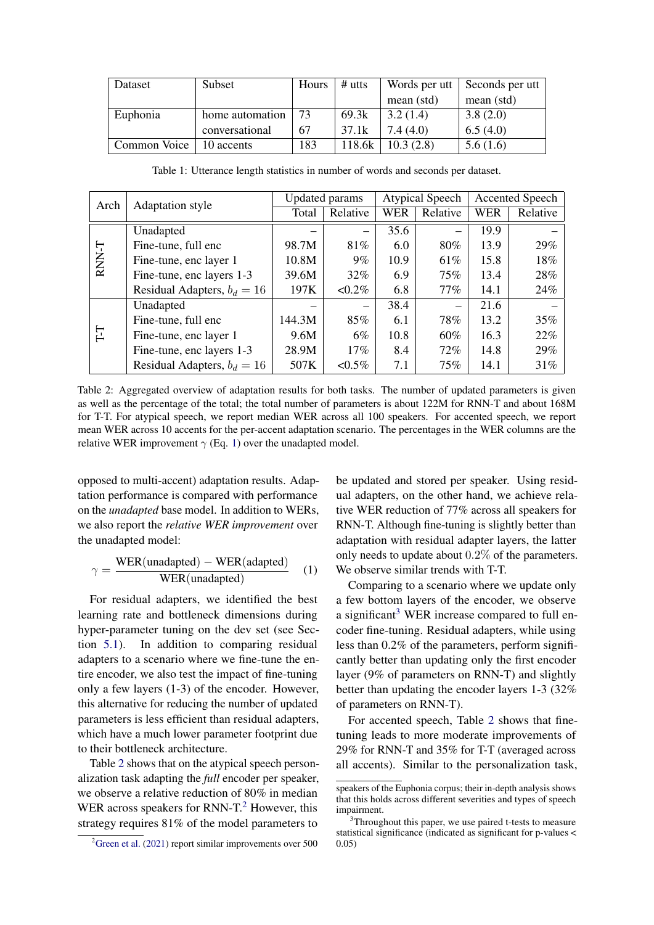<span id="page-4-0"></span>

| Dataset      | Subset          | Hours | $#$ utts | Words per utt | Seconds per utt |
|--------------|-----------------|-------|----------|---------------|-----------------|
|              |                 |       |          | mean (std)    | mean (std)      |
| Euphonia     | home automation | 73    | 69.3k    | 3.2(1.4)      | 3.8(2.0)        |
|              | conversational  | 67    | 37.1k    | 7.4(4.0)      | 6.5(4.0)        |
| Common Voice | 10 accents      | 183   | 118.6k   | 10.3(2.8)     | 5.6(1.6)        |

<span id="page-4-1"></span>Arch Adaptation style Updated params Atypical Speech Accented Speech<br>Total Delating WEB Belating WEB Belating Total Relative WER Relative WER Relative RNN-T Unadapted  $-| -| -| 35.6 | -| 19.9$ Fine-tune, full enc  $98.7M$   $81\%$  6.0 80% 13.9 29% Fine-tune, enc layer 1  $10.8M$  9% 10.9 61% 15.8 18% Fine-tune, enc layers 1-3  $\begin{array}{|c|c|c|c|c|c|} \hline 39.6M & 32\% & 6.9 & 75\% & 13.4 & 28\% \hline \end{array}$ Residual Adapters,  $b_d = 16$  | 197K | <0.2% | 6.8 | 77% | 14.1 | 24% T-T Unadapted  $| - | 38.4 | - | 21.6$ Fine-tune, full enc  $144.3M$   $85\%$  6.1 78% 13.2 35% Fine-tune, enc layer 1 9.6M 6% 10.8 60% 16.3 22% Fine-tune, enc layers 1-3  $\begin{array}{|c|c|c|c|c|c|c|c|c|} \hline \end{array}$  29% 29% Residual Adapters,  $b_d = 16$  | 507K | <0.5% | 7.1 | 75% | 14.1 | 31%

Table 1: Utterance length statistics in number of words and seconds per dataset.

Table 2: Aggregated overview of adaptation results for both tasks. The number of updated parameters is given as well as the percentage of the total; the total number of parameters is about 122M for RNN-T and about 168M for T-T. For atypical speech, we report median WER across all 100 speakers. For accented speech, we report mean WER across 10 accents for the per-accent adaptation scenario. The percentages in the WER columns are the relative WER improvement  $\gamma$  (Eq. [1\)](#page-4-2) over the unadapted model.

opposed to multi-accent) adaptation results. Adaptation performance is compared with performance on the *unadapted* base model. In addition to WERs, we also report the *relative WER improvement* over the unadapted model:

<span id="page-4-2"></span>
$$
\gamma = \frac{\text{WER}(\text{unadapted}) - \text{WER}(\text{adapted})}{\text{WER}(\text{unadapted})} \quad (1)
$$

For residual adapters, we identified the best learning rate and bottleneck dimensions during hyper-parameter tuning on the dev set (see Section [5.1\)](#page-5-0). In addition to comparing residual adapters to a scenario where we fine-tune the entire encoder, we also test the impact of fine-tuning only a few layers (1-3) of the encoder. However, this alternative for reducing the number of updated parameters is less efficient than residual adapters, which have a much lower parameter footprint due to their bottleneck architecture.

Table [2](#page-4-1) shows that on the atypical speech personalization task adapting the *full* encoder per speaker, we observe a relative reduction of 80% in median WER across speakers for RNN- $T<sup>2</sup>$  $T<sup>2</sup>$  $T<sup>2</sup>$  However, this strategy requires 81% of the model parameters to

be updated and stored per speaker. Using residual adapters, on the other hand, we achieve relative WER reduction of 77% across all speakers for RNN-T. Although fine-tuning is slightly better than adaptation with residual adapter layers, the latter only needs to update about 0.2% of the parameters. We observe similar trends with T-T.

Comparing to a scenario where we update only a few bottom layers of the encoder, we observe a significant<sup>[3](#page-4-4)</sup> WER increase compared to full encoder fine-tuning. Residual adapters, while using less than 0.2% of the parameters, perform significantly better than updating only the first encoder layer (9% of parameters on RNN-T) and slightly better than updating the encoder layers 1-3 (32% of parameters on RNN-T).

For accented speech, Table [2](#page-4-1) shows that finetuning leads to more moderate improvements of 29% for RNN-T and 35% for T-T (averaged across all accents). Similar to the personalization task,

<span id="page-4-3"></span> $2\overline{G}$ reen et al. [\(2021\)](#page-8-7) report similar improvements over 500

speakers of the Euphonia corpus; their in-depth analysis shows that this holds across different severities and types of speech impairment.

<span id="page-4-4"></span><sup>&</sup>lt;sup>3</sup>Throughout this paper, we use paired t-tests to measure statistical significance (indicated as significant for p-values < 0.05)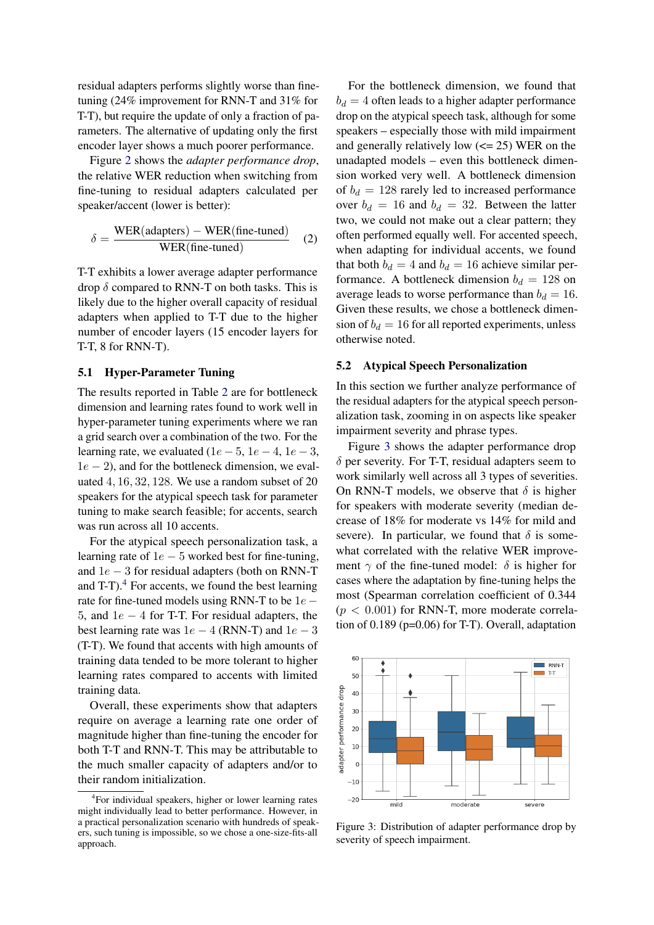residual adapters performs slightly worse than finetuning (24% improvement for RNN-T and 31% for T-T), but require the update of only a fraction of parameters. The alternative of updating only the first encoder layer shows a much poorer performance.

Figure [2](#page-3-1) shows the *adapter performance drop*, the relative WER reduction when switching from fine-tuning to residual adapters calculated per speaker/accent (lower is better):

$$
\delta = \frac{\text{WER(adapters)} - \text{WER(fine-tuned)}}{\text{WER(fine-tuned)}} \quad (2)
$$

T-T exhibits a lower average adapter performance drop  $\delta$  compared to RNN-T on both tasks. This is likely due to the higher overall capacity of residual adapters when applied to T-T due to the higher number of encoder layers (15 encoder layers for T-T, 8 for RNN-T).

# <span id="page-5-0"></span>5.1 Hyper-Parameter Tuning

The results reported in Table [2](#page-4-1) are for bottleneck dimension and learning rates found to work well in hyper-parameter tuning experiments where we ran a grid search over a combination of the two. For the learning rate, we evaluated  $(1e - 5, 1e - 4, 1e - 3, 1e - 3)$  $1e - 2$ ), and for the bottleneck dimension, we evaluated 4, 16, 32, 128. We use a random subset of 20 speakers for the atypical speech task for parameter tuning to make search feasible; for accents, search was run across all 10 accents.

For the atypical speech personalization task, a learning rate of  $1e - 5$  worked best for fine-tuning, and 1e − 3 for residual adapters (both on RNN-T and  $T-T$ ).<sup>[4](#page-5-1)</sup> For accents, we found the best learning rate for fine-tuned models using RNN-T to be  $1e -$ 5, and 1e − 4 for T-T. For residual adapters, the best learning rate was  $1e - 4$  (RNN-T) and  $1e - 3$ (T-T). We found that accents with high amounts of training data tended to be more tolerant to higher learning rates compared to accents with limited training data.

Overall, these experiments show that adapters require on average a learning rate one order of magnitude higher than fine-tuning the encoder for both T-T and RNN-T. This may be attributable to the much smaller capacity of adapters and/or to their random initialization.

For the bottleneck dimension, we found that  $b_d = 4$  often leads to a higher adapter performance drop on the atypical speech task, although for some speakers – especially those with mild impairment and generally relatively low  $\left(\leq 25\right)$  WER on the unadapted models – even this bottleneck dimension worked very well. A bottleneck dimension of  $b_d = 128$  rarely led to increased performance over  $b_d = 16$  and  $b_d = 32$ . Between the latter two, we could not make out a clear pattern; they often performed equally well. For accented speech, when adapting for individual accents, we found that both  $b_d = 4$  and  $b_d = 16$  achieve similar performance. A bottleneck dimension  $b_d = 128$  on average leads to worse performance than  $b_d = 16$ . Given these results, we chose a bottleneck dimension of  $b_d = 16$  for all reported experiments, unless otherwise noted.

### <span id="page-5-3"></span>5.2 Atypical Speech Personalization

In this section we further analyze performance of the residual adapters for the atypical speech personalization task, zooming in on aspects like speaker impairment severity and phrase types.

Figure [3](#page-5-2) shows the adapter performance drop  $\delta$  per severity. For T-T, residual adapters seem to work similarly well across all 3 types of severities. On RNN-T models, we observe that  $\delta$  is higher for speakers with moderate severity (median decrease of 18% for moderate vs 14% for mild and severe). In particular, we found that  $\delta$  is somewhat correlated with the relative WER improvement  $\gamma$  of the fine-tuned model:  $\delta$  is higher for cases where the adaptation by fine-tuning helps the most (Spearman correlation coefficient of 0.344  $(p < 0.001)$  for RNN-T, more moderate correlation of 0.189 (p=0.06) for T-T). Overall, adaptation

<span id="page-5-2"></span>

Figure 3: Distribution of adapter performance drop by severity of speech impairment.

<span id="page-5-1"></span><sup>&</sup>lt;sup>4</sup>For individual speakers, higher or lower learning rates might individually lead to better performance. However, in a practical personalization scenario with hundreds of speakers, such tuning is impossible, so we chose a one-size-fits-all approach.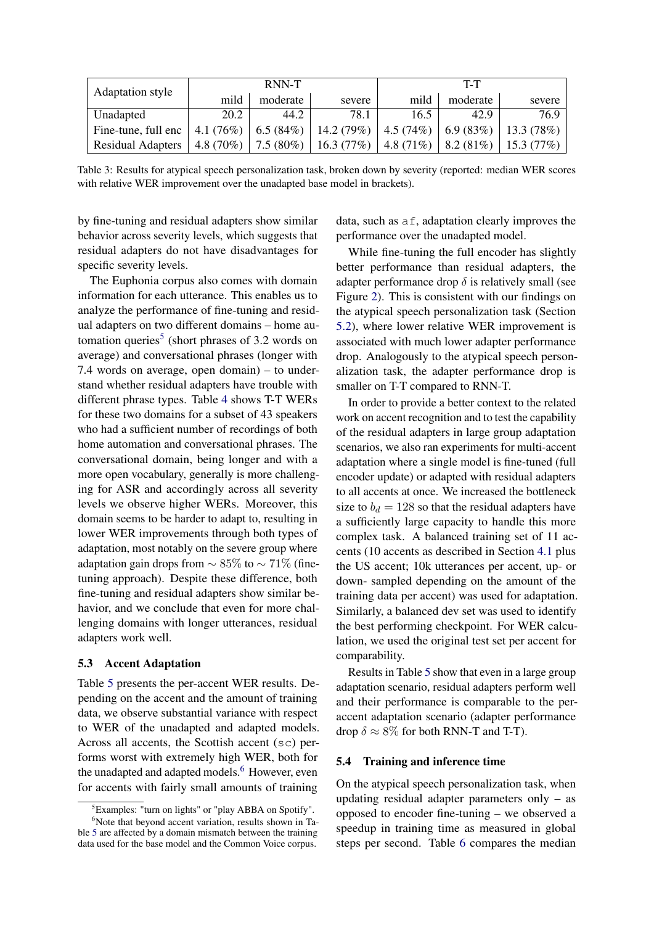| <b>Adaptation style</b> |             | RNN-T       |                                       | T-T          |             |              |  |
|-------------------------|-------------|-------------|---------------------------------------|--------------|-------------|--------------|--|
|                         | mild        | moderate    | severe                                | mild         | moderate    | severe       |  |
| Unadapted               | 20.2        | 44.2        | 78.1                                  | 16.5         | 42.9        | 76.9         |  |
| Fine-tune, full enc     | 4.1 $(76%)$ |             | $\mid 6.5(84\%) \mid 14.2(79\%) \mid$ | 4.5(74%)     | 6.9(83%)    | 13.3(78%)    |  |
| Residual Adapters       | $4.8(70\%)$ | $7.5(80\%)$ | 16.3(77%)                             | 4.8 $(71\%)$ | $8.2(81\%)$ | $15.3(77\%)$ |  |

Table 3: Results for atypical speech personalization task, broken down by severity (reported: median WER scores with relative WER improvement over the unadapted base model in brackets).

by fine-tuning and residual adapters show similar behavior across severity levels, which suggests that residual adapters do not have disadvantages for specific severity levels.

The Euphonia corpus also comes with domain information for each utterance. This enables us to analyze the performance of fine-tuning and residual adapters on two different domains – home au-tomation queries<sup>[5](#page-6-0)</sup> (short phrases of 3.2 words on average) and conversational phrases (longer with 7.4 words on average, open domain) – to understand whether residual adapters have trouble with different phrase types. Table [4](#page-7-1) shows T-T WERs for these two domains for a subset of 43 speakers who had a sufficient number of recordings of both home automation and conversational phrases. The conversational domain, being longer and with a more open vocabulary, generally is more challenging for ASR and accordingly across all severity levels we observe higher WERs. Moreover, this domain seems to be harder to adapt to, resulting in lower WER improvements through both types of adaptation, most notably on the severe group where adaptation gain drops from  $\sim 85\%$  to  $\sim 71\%$  (finetuning approach). Despite these difference, both fine-tuning and residual adapters show similar behavior, and we conclude that even for more challenging domains with longer utterances, residual adapters work well.

#### 5.3 Accent Adaptation

Table [5](#page-7-0) presents the per-accent WER results. Depending on the accent and the amount of training data, we observe substantial variance with respect to WER of the unadapted and adapted models. Across all accents, the Scottish accent (sc) performs worst with extremely high WER, both for the unadapted and adapted models.<sup>[6](#page-6-1)</sup> However, even for accents with fairly small amounts of training

data, such as af, adaptation clearly improves the performance over the unadapted model.

While fine-tuning the full encoder has slightly better performance than residual adapters, the adapter performance drop  $\delta$  is relatively small (see Figure [2\)](#page-3-1). This is consistent with our findings on the atypical speech personalization task (Section [5.2\)](#page-5-3), where lower relative WER improvement is associated with much lower adapter performance drop. Analogously to the atypical speech personalization task, the adapter performance drop is smaller on T-T compared to RNN-T.

In order to provide a better context to the related work on accent recognition and to test the capability of the residual adapters in large group adaptation scenarios, we also ran experiments for multi-accent adaptation where a single model is fine-tuned (full encoder update) or adapted with residual adapters to all accents at once. We increased the bottleneck size to  $b_d = 128$  so that the residual adapters have a sufficiently large capacity to handle this more complex task. A balanced training set of 11 accents (10 accents as described in Section [4.1](#page-3-2) plus the US accent; 10k utterances per accent, up- or down- sampled depending on the amount of the training data per accent) was used for adaptation. Similarly, a balanced dev set was used to identify the best performing checkpoint. For WER calculation, we used the original test set per accent for comparability.

Results in Table [5](#page-7-0) show that even in a large group adaptation scenario, residual adapters perform well and their performance is comparable to the peraccent adaptation scenario (adapter performance drop  $\delta \approx 8\%$  for both RNN-T and T-T).

### 5.4 Training and inference time

On the atypical speech personalization task, when updating residual adapter parameters only – as opposed to encoder fine-tuning – we observed a speedup in training time as measured in global steps per second. Table [6](#page-7-2) compares the median

<span id="page-6-1"></span><span id="page-6-0"></span><sup>5</sup>Examples: "turn on lights" or "play ABBA on Spotify".

 $6$ Note that beyond accent variation, results shown in Table [5](#page-7-0) are affected by a domain mismatch between the training data used for the base model and the Common Voice corpus.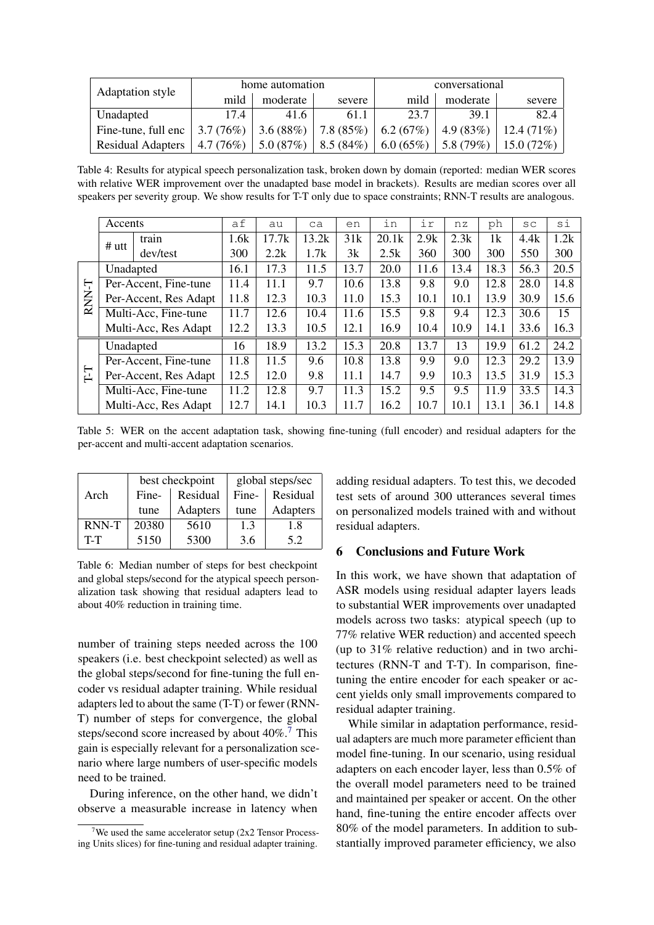<span id="page-7-1"></span>

| Adaptation style         |          | home automation |          | conversational |                |              |  |
|--------------------------|----------|-----------------|----------|----------------|----------------|--------------|--|
|                          | mild     | moderate        | severe   | mild           | moderate       | severe       |  |
| Unadapted                | 17.4     | 41.6            | 61.1     | 23.7           | 39.1           | 82.4         |  |
| Fine-tune, full enc      | 3.7(76%) | 3.6(88%)        | 7.8(85%) | 6.2 $(67%)$    | 4.9(83%)       | $12.4(71\%)$ |  |
| <b>Residual Adapters</b> | 4.7(76%) | 5.0(87%)        | 8.5(84%) | 6.0 $(65\%)$   | $1, 5.8$ (79%) | $15.0(72\%)$ |  |

Table 4: Results for atypical speech personalization task, broken down by domain (reported: median WER scores with relative WER improvement over the unadapted base model in brackets). Results are median scores over all speakers per severity group. We show results for T-T only due to space constraints; RNN-T results are analogous.

<span id="page-7-0"></span>

|                                     | Accents   |                               | af   | au    | ca    | en   | in    | ir   | nz   | ph   | SC   | si   |
|-------------------------------------|-----------|-------------------------------|------|-------|-------|------|-------|------|------|------|------|------|
|                                     | $#$ utt   | train                         | 1.6k | 17.7k | 13.2k | 31k  | 20.1k | 2.9k | 2.3k | 1k   | 4.4k | 1.2k |
|                                     |           | dev/test                      | 300  | 2.2k  | 1.7k  | 3k   | 2.5k  | 360  | 300  | 300  | 550  | 300  |
|                                     | Unadapted |                               | 16.1 | 17.3  | 11.5  | 13.7 | 20.0  | 11.6 | 13.4 | 18.3 | 56.3 | 20.5 |
| Ļ                                   |           | Per-Accent, Fine-tune         | 11.4 | 11.1  | 9.7   | 10.6 | 13.8  | 9.8  | 9.0  | 12.8 | 28.0 | 14.8 |
| <b>RNN</b><br>Per-Accent, Res Adapt |           | 11.8                          | 12.3 | 10.3  | 11.0  | 15.3 | 10.1  | 10.1 | 13.9 | 30.9 | 15.6 |      |
| Multi-Acc, Fine-tune                |           | 11.7                          | 12.6 | 10.4  | 11.6  | 15.5 | 9.8   | 9.4  | 12.3 | 30.6 | 15   |      |
|                                     |           | Multi-Acc, Res Adapt          |      | 13.3  | 10.5  | 12.1 | 16.9  | 10.4 | 10.9 | 14.1 | 33.6 | 16.3 |
|                                     | Unadapted |                               | 16   | 18.9  | 13.2  | 15.3 | 20.8  | 13.7 | 13   | 19.9 | 61.2 | 24.2 |
|                                     |           | Per-Accent, Fine-tune         | 11.8 | 11.5  | 9.6   | 10.8 | 13.8  | 9.9  | 9.0  | 12.3 | 29.2 | 13.9 |
| ГI                                  |           | 12.5<br>Per-Accent, Res Adapt |      | 12.0  | 9.8   | 11.1 | 14.7  | 9.9  | 10.3 | 13.5 | 31.9 | 15.3 |
|                                     |           | Multi-Acc, Fine-tune          |      | 12.8  | 9.7   | 11.3 | 15.2  | 9.5  | 9.5  | 11.9 | 33.5 | 14.3 |
|                                     |           | Multi-Acc, Res Adapt          | 12.7 | 14.1  | 10.3  | 11.7 | 16.2  | 10.7 | 10.1 | 13.1 | 36.1 | 14.8 |

Table 5: WER on the accent adaptation task, showing fine-tuning (full encoder) and residual adapters for the per-accent and multi-accent adaptation scenarios.

<span id="page-7-2"></span>

|              |       | best checkpoint | global steps/sec |                  |  |  |
|--------------|-------|-----------------|------------------|------------------|--|--|
| Arch         | Fine- | Residual        |                  | Fine-   Residual |  |  |
|              | tune  | <b>Adapters</b> | tune             | <b>Adapters</b>  |  |  |
| <b>RNN-T</b> | 20380 | 5610            | 1.3              | 1.8              |  |  |
| $T-T$        | 5150  | 5300            | 3.6              | 5.2              |  |  |

Table 6: Median number of steps for best checkpoint and global steps/second for the atypical speech personalization task showing that residual adapters lead to about 40% reduction in training time.

number of training steps needed across the 100 speakers (i.e. best checkpoint selected) as well as the global steps/second for fine-tuning the full encoder vs residual adapter training. While residual adapters led to about the same (T-T) or fewer (RNN-T) number of steps for convergence, the global steps/second score increased by about 40%.<sup>[7](#page-7-3)</sup> This gain is especially relevant for a personalization scenario where large numbers of user-specific models need to be trained.

During inference, on the other hand, we didn't observe a measurable increase in latency when adding residual adapters. To test this, we decoded test sets of around 300 utterances several times on personalized models trained with and without residual adapters.

# 6 Conclusions and Future Work

In this work, we have shown that adaptation of ASR models using residual adapter layers leads to substantial WER improvements over unadapted models across two tasks: atypical speech (up to 77% relative WER reduction) and accented speech (up to 31% relative reduction) and in two architectures (RNN-T and T-T). In comparison, finetuning the entire encoder for each speaker or accent yields only small improvements compared to residual adapter training.

While similar in adaptation performance, residual adapters are much more parameter efficient than model fine-tuning. In our scenario, using residual adapters on each encoder layer, less than 0.5% of the overall model parameters need to be trained and maintained per speaker or accent. On the other hand, fine-tuning the entire encoder affects over 80% of the model parameters. In addition to substantially improved parameter efficiency, we also

<span id="page-7-3"></span>We used the same accelerator setup  $(2x2)$  Tensor Processing Units slices) for fine-tuning and residual adapter training.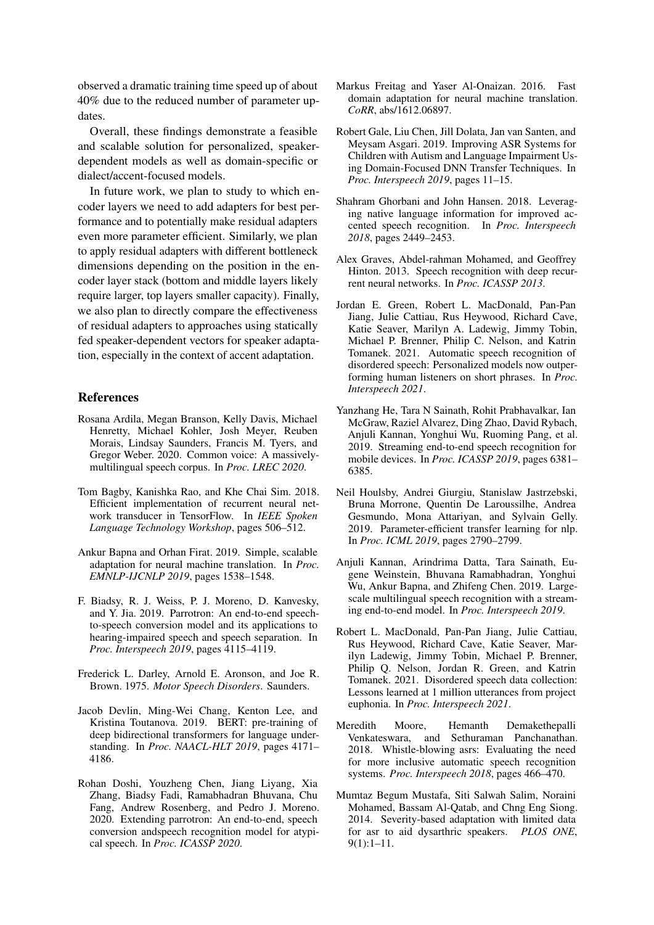observed a dramatic training time speed up of about 40% due to the reduced number of parameter updates.

Overall, these findings demonstrate a feasible and scalable solution for personalized, speakerdependent models as well as domain-specific or dialect/accent-focused models.

In future work, we plan to study to which encoder layers we need to add adapters for best performance and to potentially make residual adapters even more parameter efficient. Similarly, we plan to apply residual adapters with different bottleneck dimensions depending on the position in the encoder layer stack (bottom and middle layers likely require larger, top layers smaller capacity). Finally, we also plan to directly compare the effectiveness of residual adapters to approaches using statically fed speaker-dependent vectors for speaker adaptation, especially in the context of accent adaptation.

## References

- <span id="page-8-16"></span>Rosana Ardila, Megan Branson, Kelly Davis, Michael Henretty, Michael Kohler, Josh Meyer, Reuben Morais, Lindsay Saunders, Francis M. Tyers, and Gregor Weber. 2020. Common voice: A massivelymultilingual speech corpus. In *Proc. LREC 2020*.
- <span id="page-8-15"></span>Tom Bagby, Kanishka Rao, and Khe Chai Sim. 2018. Efficient implementation of recurrent neural network transducer in TensorFlow. In *IEEE Spoken Language Technology Workshop*, pages 506–512.
- <span id="page-8-11"></span>Ankur Bapna and Orhan Firat. 2019. Simple, scalable adaptation for neural machine translation. In *Proc. EMNLP-IJCNLP 2019*, pages 1538–1548.
- <span id="page-8-5"></span>F. Biadsy, R. J. Weiss, P. J. Moreno, D. Kanvesky, and Y. Jia. 2019. Parrotron: An end-to-end speechto-speech conversion model and its applications to hearing-impaired speech and speech separation. In *Proc. Interspeech 2019*, pages 4115–4119.
- <span id="page-8-0"></span>Frederick L. Darley, Arnold E. Aronson, and Joe R. Brown. 1975. *Motor Speech Disorders*. Saunders.
- <span id="page-8-8"></span>Jacob Devlin, Ming-Wei Chang, Kenton Lee, and Kristina Toutanova. 2019. BERT: pre-training of deep bidirectional transformers for language understanding. In *Proc. NAACL-HLT 2019*, pages 4171– 4186.
- <span id="page-8-6"></span>Rohan Doshi, Youzheng Chen, Jiang Liyang, Xia Zhang, Biadsy Fadi, Ramabhadran Bhuvana, Chu Fang, Andrew Rosenberg, and Pedro J. Moreno. 2020. Extending parrotron: An end-to-end, speech conversion andspeech recognition model for atypical speech. In *Proc. ICASSP 2020*.
- <span id="page-8-9"></span>Markus Freitag and Yaser Al-Onaizan. 2016. Fast domain adaptation for neural machine translation. *CoRR*, abs/1612.06897.
- <span id="page-8-3"></span>Robert Gale, Liu Chen, Jill Dolata, Jan van Santen, and Meysam Asgari. 2019. Improving ASR Systems for Children with Autism and Language Impairment Using Domain-Focused DNN Transfer Techniques. In *Proc. Interspeech 2019*, pages 11–15.
- <span id="page-8-2"></span>Shahram Ghorbani and John Hansen. 2018. Leveraging native language information for improved accented speech recognition. In *Proc. Interspeech 2018*, pages 2449–2453.
- <span id="page-8-13"></span>Alex Graves, Abdel-rahman Mohamed, and Geoffrey Hinton. 2013. Speech recognition with deep recurrent neural networks. In *Proc. ICASSP 2013*.
- <span id="page-8-7"></span>Jordan E. Green, Robert L. MacDonald, Pan-Pan Jiang, Julie Cattiau, Rus Heywood, Richard Cave, Katie Seaver, Marilyn A. Ladewig, Jimmy Tobin, Michael P. Brenner, Philip C. Nelson, and Katrin Tomanek. 2021. Automatic speech recognition of disordered speech: Personalized models now outperforming human listeners on short phrases. In *Proc. Interspeech 2021*.
- <span id="page-8-14"></span>Yanzhang He, Tara N Sainath, Rohit Prabhavalkar, Ian McGraw, Raziel Alvarez, Ding Zhao, David Rybach, Anjuli Kannan, Yonghui Wu, Ruoming Pang, et al. 2019. Streaming end-to-end speech recognition for mobile devices. In *Proc. ICASSP 2019*, pages 6381– 6385.
- <span id="page-8-10"></span>Neil Houlsby, Andrei Giurgiu, Stanislaw Jastrzebski, Bruna Morrone, Quentin De Laroussilhe, Andrea Gesmundo, Mona Attariyan, and Sylvain Gelly. 2019. Parameter-efficient transfer learning for nlp. In *Proc. ICML 2019*, pages 2790–2799.
- <span id="page-8-12"></span>Anjuli Kannan, Arindrima Datta, Tara Sainath, Eugene Weinstein, Bhuvana Ramabhadran, Yonghui Wu, Ankur Bapna, and Zhifeng Chen. 2019. Largescale multilingual speech recognition with a streaming end-to-end model. In *Proc. Interspeech 2019*.
- <span id="page-8-17"></span>Robert L. MacDonald, Pan-Pan Jiang, Julie Cattiau, Rus Heywood, Richard Cave, Katie Seaver, Marilyn Ladewig, Jimmy Tobin, Michael P. Brenner, Philip Q. Nelson, Jordan R. Green, and Katrin Tomanek. 2021. Disordered speech data collection: Lessons learned at 1 million utterances from project euphonia. In *Proc. Interspeech 2021*.
- <span id="page-8-1"></span>Meredith Moore, Hemanth Demakethepalli Venkateswara, and Sethuraman Panchanathan. 2018. Whistle-blowing asrs: Evaluating the need for more inclusive automatic speech recognition systems. *Proc. Interspeech 2018*, pages 466–470.
- <span id="page-8-4"></span>Mumtaz Begum Mustafa, Siti Salwah Salim, Noraini Mohamed, Bassam Al-Qatab, and Chng Eng Siong. 2014. Severity-based adaptation with limited data for asr to aid dysarthric speakers. *PLOS ONE*, 9(1):1–11.